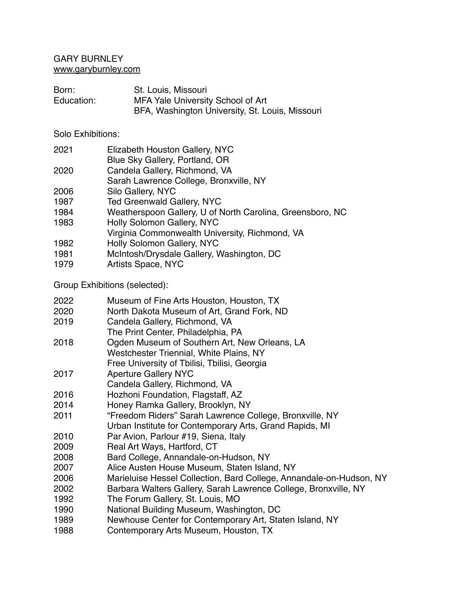GARY BURNLEY [www.garyburnley.com](http://www.garyburnley.com)

| Born:      | St. Louis, Missouri                             |
|------------|-------------------------------------------------|
| Education: | MFA Yale University School of Art               |
|            | BFA, Washington University, St. Louis, Missouri |

Solo Exhibitions:

| Elizabeth Houston Gallery, NYC | 2021 |  |  |  |  |
|--------------------------------|------|--|--|--|--|
|--------------------------------|------|--|--|--|--|

- Blue Sky Gallery, Portland, OR
- 2020 Candela Gallery, Richmond, VA
- Sarah Lawrence College, Bronxville, NY
- 2006 Silo Gallery, NYC
- 1987 Ted Greenwald Gallery, NYC
- 1984 Weatherspoon Gallery, U of North Carolina, Greensboro, NC
- 1983 Holly Solomon Gallery, NYC
- Virginia Commonwealth University, Richmond, VA
- 1982 Holly Solomon Gallery, NYC
- 1981 McIntosh/Drysdale Gallery, Washington, DC
- 1979 Artists Space, NYC

Group Exhibitions (selected):

| 2022 | Museum of Fine Arts Houston, Houston, TX                            |
|------|---------------------------------------------------------------------|
| 2020 | North Dakota Museum of Art, Grand Fork, ND                          |
| 2019 | Candela Gallery, Richmond, VA                                       |
|      | The Print Center, Philadelphia, PA                                  |
| 2018 | Ogden Museum of Southern Art, New Orleans, LA                       |
|      | Westchester Triennial, White Plains, NY                             |
|      | Free University of Tbilisi, Tbilisi, Georgia                        |
| 2017 | <b>Aperture Gallery NYC</b>                                         |
|      | Candela Gallery, Richmond, VA                                       |
| 2016 | Hozhoni Foundation, Flagstaff, AZ                                   |
| 2014 | Honey Ramka Gallery, Brooklyn, NY                                   |
| 2011 | "Freedom Riders" Sarah Lawrence College, Bronxville, NY             |
|      | Urban Institute for Contemporary Arts, Grand Rapids, MI             |
| 2010 | Par Avion, Parlour #19, Siena, Italy                                |
| 2009 | Real Art Ways, Hartford, CT                                         |
| 2008 | Bard College, Annandale-on-Hudson, NY                               |
| 2007 | Alice Austen House Museum, Staten Island, NY                        |
| 2006 | Marieluise Hessel Collection, Bard College, Annandale-on-Hudson, NY |
| 2002 | Barbara Walters Gallery, Sarah Lawrence College, Bronxville, NY     |
| 1992 | The Forum Gallery, St. Louis, MO                                    |
| 1990 | National Building Museum, Washington, DC                            |
| 1989 | Newhouse Center for Contemporary Art, Staten Island, NY             |
| 1988 | Contemporary Arts Museum, Houston, TX                               |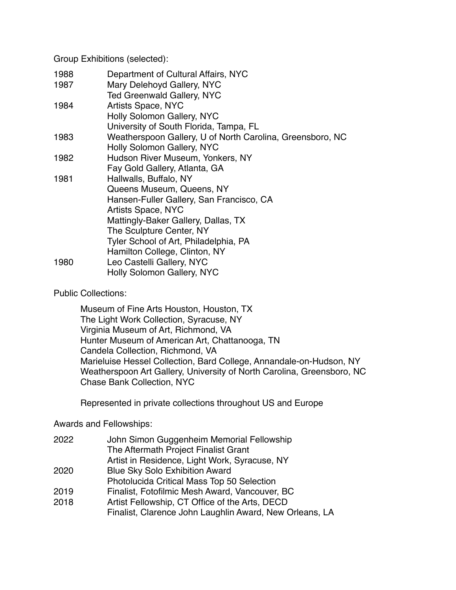Group Exhibitions (selected):

| 1988 | Department of Cultural Affairs, NYC                       |
|------|-----------------------------------------------------------|
| 1987 | Mary Delehoyd Gallery, NYC                                |
|      | <b>Ted Greenwald Gallery, NYC</b>                         |
| 1984 | Artists Space, NYC                                        |
|      | <b>Holly Solomon Gallery, NYC</b>                         |
|      | University of South Florida, Tampa, FL                    |
| 1983 | Weatherspoon Gallery, U of North Carolina, Greensboro, NC |
|      | Holly Solomon Gallery, NYC                                |
| 1982 | Hudson River Museum, Yonkers, NY                          |
|      | Fay Gold Gallery, Atlanta, GA                             |
| 1981 | Hallwalls, Buffalo, NY                                    |
|      | Queens Museum, Queens, NY                                 |
|      | Hansen-Fuller Gallery, San Francisco, CA                  |
|      | <b>Artists Space, NYC</b>                                 |
|      | Mattingly-Baker Gallery, Dallas, TX                       |
|      | The Sculpture Center, NY                                  |
|      | Tyler School of Art, Philadelphia, PA                     |
|      | Hamilton College, Clinton, NY                             |
| 1980 | Leo Castelli Gallery, NYC                                 |
|      | <b>Holly Solomon Gallery, NYC</b>                         |

Public Collections:

Museum of Fine Arts Houston, Houston, TX The Light Work Collection, Syracuse, NY Virginia Museum of Art, Richmond, VA Hunter Museum of American Art, Chattanooga, TN Candela Collection, Richmond, VA Marieluise Hessel Collection, Bard College, Annandale-on-Hudson, NY Weatherspoon Art Gallery, University of North Carolina, Greensboro, NC Chase Bank Collection, NYC

Represented in private collections throughout US and Europe

Awards and Fellowships:

| 2022 | John Simon Guggenheim Memorial Fellowship               |
|------|---------------------------------------------------------|
|      | The Aftermath Project Finalist Grant                    |
|      | Artist in Residence, Light Work, Syracuse, NY           |
| 2020 | <b>Blue Sky Solo Exhibition Award</b>                   |
|      | Photolucida Critical Mass Top 50 Selection              |
| 2019 | Finalist, Fotofilmic Mesh Award, Vancouver, BC          |
| 2018 | Artist Fellowship, CT Office of the Arts, DECD          |
|      | Finalist, Clarence John Laughlin Award, New Orleans, LA |